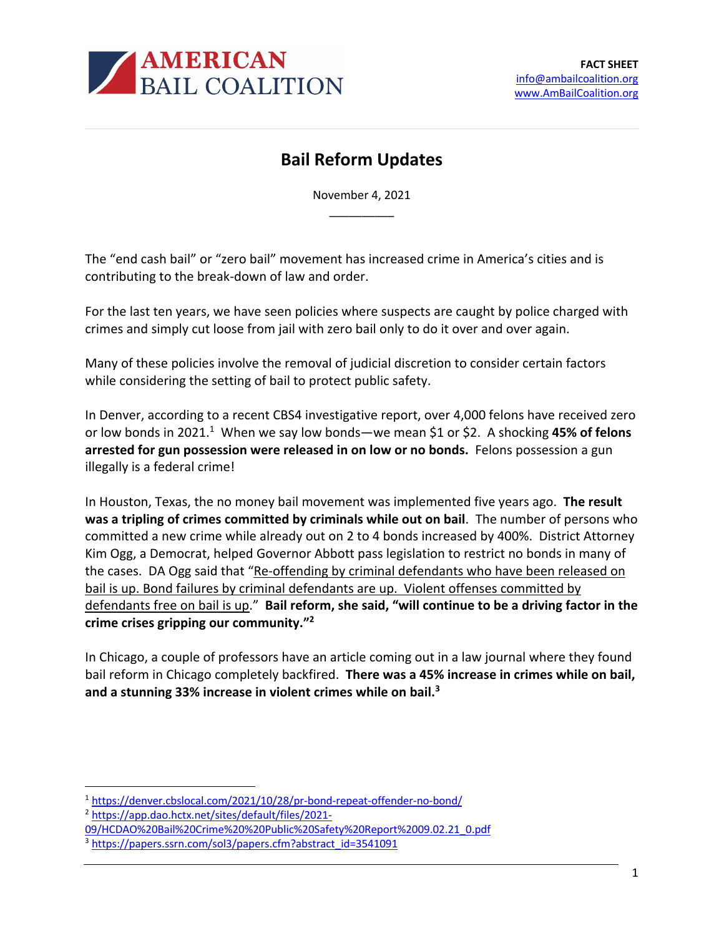

## **Bail Reform Updates**

November 4, 2021 \_\_\_\_\_\_\_\_\_\_

The "end cash bail" or "zero bail" movement has increased crime in America's cities and is contributing to the break-down of law and order.

For the last ten years, we have seen policies where suspects are caught by police charged with crimes and simply cut loose from jail with zero bail only to do it over and over again.

Many of these policies involve the removal of judicial discretion to consider certain factors while considering the setting of bail to protect public safety.

In Denver, according to a recent CBS4 investigative report, over 4,000 felons have received zero or low bonds in 2021.1 When we say low bonds—we mean \$1 or \$2. A shocking **45% of felons arrested for gun possession were released in on low or no bonds.** Felons possession a gun illegally is a federal crime!

In Houston, Texas, the no money bail movement was implemented five years ago. **The result was a tripling of crimes committed by criminals while out on bail**. The number of persons who committed a new crime while already out on 2 to 4 bonds increased by 400%. District Attorney Kim Ogg, a Democrat, helped Governor Abbott pass legislation to restrict no bonds in many of the cases. DA Ogg said that "Re-offending by criminal defendants who have been released on bail is up. Bond failures by criminal defendants are up. Violent offenses committed by defendants free on bail is up." **Bail reform, she said, "will continue to be a driving factor in the crime crises gripping our community."2**

In Chicago, a couple of professors have an article coming out in a law journal where they found bail reform in Chicago completely backfired. **There was a 45% increase in crimes while on bail, and a stunning 33% increase in violent crimes while on bail.3**

<sup>2</sup> https://app.dao.hctx.net/sites/default/files/2021-

<sup>1</sup> https://denver.cbslocal.com/2021/10/28/pr-bond-repeat-offender-no-bond/

<sup>09/</sup>HCDAO%20Bail%20Crime%20%20Public%20Safety%20Report%2009.02.21\_0.pdf

<sup>&</sup>lt;sup>3</sup> https://papers.ssrn.com/sol3/papers.cfm?abstract\_id=3541091